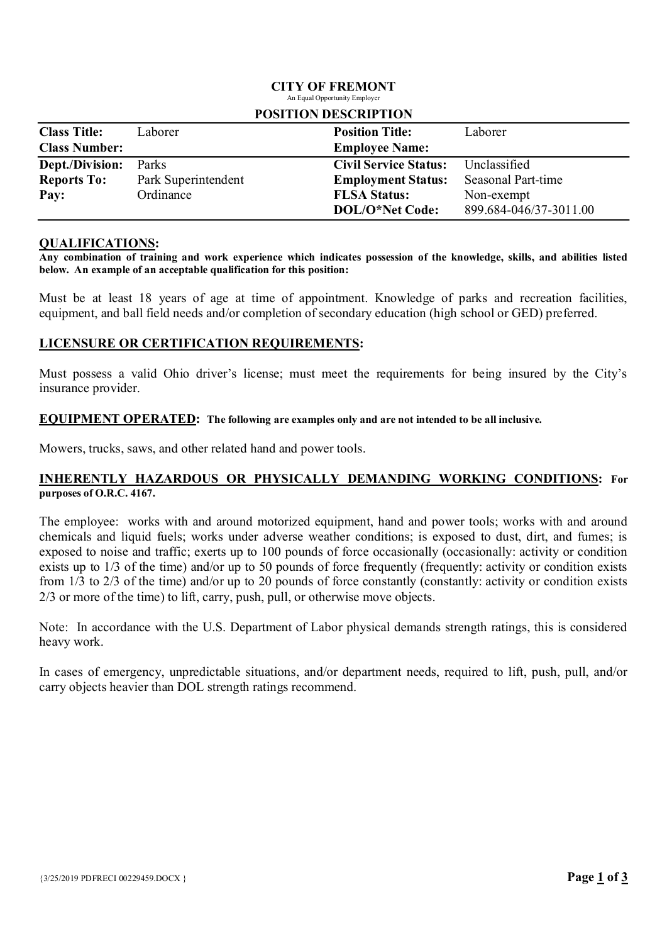#### CITY OF FREMONT An Equal Opportunity Employer

| TUBLIJUN DESUNIT LIUN |                     |                              |                           |  |  |
|-----------------------|---------------------|------------------------------|---------------------------|--|--|
| <b>Class Title:</b>   | Laborer             | <b>Position Title:</b>       | Laborer                   |  |  |
| <b>Class Number:</b>  |                     | <b>Employee Name:</b>        |                           |  |  |
| Dept./Division:       | Parks               | <b>Civil Service Status:</b> | Unclassified              |  |  |
| <b>Reports To:</b>    | Park Superintendent | <b>Employment Status:</b>    | <b>Seasonal Part-time</b> |  |  |
| Pay:                  | Ordinance           | <b>FLSA Status:</b>          | Non-exempt                |  |  |
|                       |                     | DOL/O*Net Code:              | 899.684-046/37-3011.00    |  |  |

#### POSITION DESCRIPTION

#### QUALIFICATIONS:

Any combination of training and work experience which indicates possession of the knowledge, skills, and abilities listed below. An example of an acceptable qualification for this position:

Must be at least 18 years of age at time of appointment. Knowledge of parks and recreation facilities, equipment, and ball field needs and/or completion of secondary education (high school or GED) preferred.

### LICENSURE OR CERTIFICATION REQUIREMENTS:

Must possess a valid Ohio driver's license; must meet the requirements for being insured by the City's insurance provider.

#### EQUIPMENT OPERATED: The following are examples only and are not intended to be all inclusive.

Mowers, trucks, saws, and other related hand and power tools.

#### INHERENTLY HAZARDOUS OR PHYSICALLY DEMANDING WORKING CONDITIONS: For purposes of O.R.C. 4167.

The employee: works with and around motorized equipment, hand and power tools; works with and around chemicals and liquid fuels; works under adverse weather conditions; is exposed to dust, dirt, and fumes; is exposed to noise and traffic; exerts up to 100 pounds of force occasionally (occasionally: activity or condition exists up to 1/3 of the time) and/or up to 50 pounds of force frequently (frequently: activity or condition exists from 1/3 to 2/3 of the time) and/or up to 20 pounds of force constantly (constantly: activity or condition exists 2/3 or more of the time) to lift, carry, push, pull, or otherwise move objects.

Note: In accordance with the U.S. Department of Labor physical demands strength ratings, this is considered heavy work.

In cases of emergency, unpredictable situations, and/or department needs, required to lift, push, pull, and/or carry objects heavier than DOL strength ratings recommend.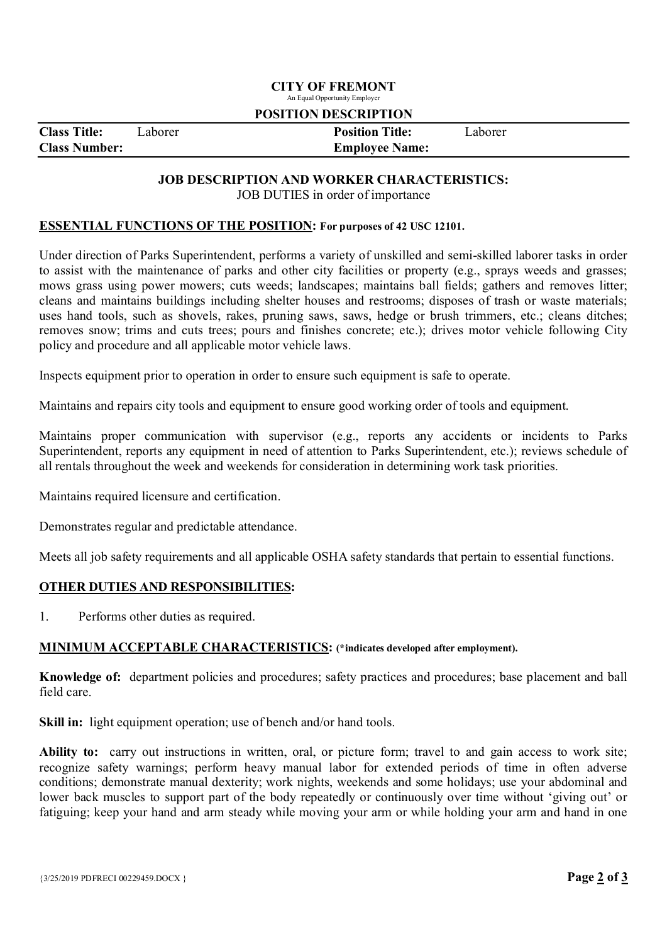#### CITY OF FREMONT An Equal Opportunity Employer

#### POSITION DESCRIPTION

| <b>Class Title:</b>  | Laborer | <b>Position Title:</b> | Laborer |  |
|----------------------|---------|------------------------|---------|--|
| <b>Class Number:</b> |         | <b>Employee Name:</b>  |         |  |
|                      |         |                        |         |  |

## JOB DESCRIPTION AND WORKER CHARACTERISTICS:

JOB DUTIES in order of importance

#### ESSENTIAL FUNCTIONS OF THE POSITION: For purposes of 42 USC 12101.

Under direction of Parks Superintendent, performs a variety of unskilled and semi-skilled laborer tasks in order to assist with the maintenance of parks and other city facilities or property (e.g., sprays weeds and grasses; mows grass using power mowers; cuts weeds; landscapes; maintains ball fields; gathers and removes litter; cleans and maintains buildings including shelter houses and restrooms; disposes of trash or waste materials; uses hand tools, such as shovels, rakes, pruning saws, saws, hedge or brush trimmers, etc.; cleans ditches; removes snow; trims and cuts trees; pours and finishes concrete; etc.); drives motor vehicle following City policy and procedure and all applicable motor vehicle laws.

Inspects equipment prior to operation in order to ensure such equipment is safe to operate.

Maintains and repairs city tools and equipment to ensure good working order of tools and equipment.

Maintains proper communication with supervisor (e.g., reports any accidents or incidents to Parks Superintendent, reports any equipment in need of attention to Parks Superintendent, etc.); reviews schedule of all rentals throughout the week and weekends for consideration in determining work task priorities.

Maintains required licensure and certification.

Demonstrates regular and predictable attendance.

Meets all job safety requirements and all applicable OSHA safety standards that pertain to essential functions.

### OTHER DUTIES AND RESPONSIBILITIES:

1. Performs other duties as required.

#### MINIMUM ACCEPTABLE CHARACTERISTICS: (\*indicates developed after employment).

Knowledge of: department policies and procedures; safety practices and procedures; base placement and ball field care.

Skill in: light equipment operation; use of bench and/or hand tools.

Ability to: carry out instructions in written, oral, or picture form; travel to and gain access to work site; recognize safety warnings; perform heavy manual labor for extended periods of time in often adverse conditions; demonstrate manual dexterity; work nights, weekends and some holidays; use your abdominal and lower back muscles to support part of the body repeatedly or continuously over time without 'giving out' or fatiguing; keep your hand and arm steady while moving your arm or while holding your arm and hand in one